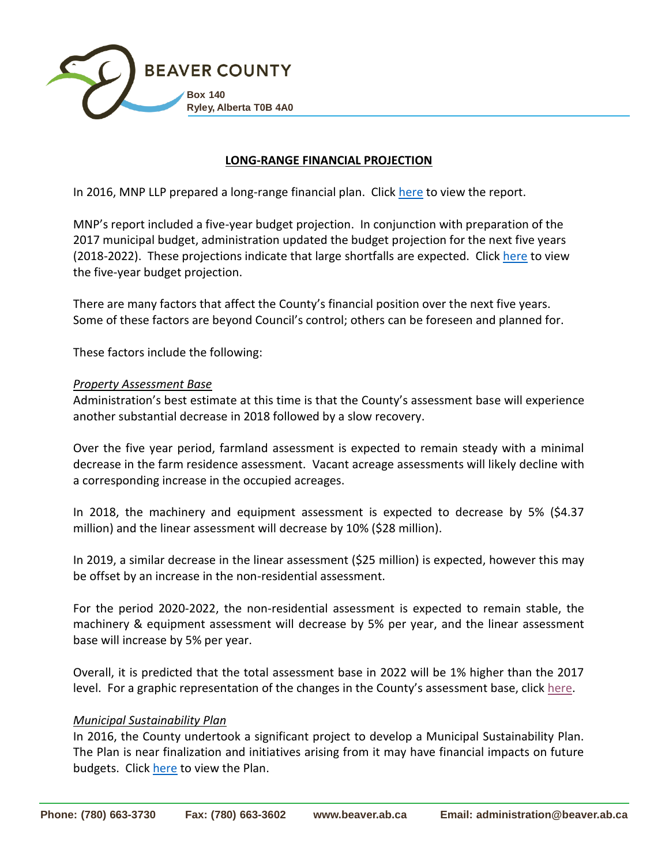

#### **LONG-RANGE FINANCIAL PROJECTION**

In 2016, MNP LLP prepared a long-range financial plan. Click [here](file://///srv1/shared/Marg/Long%20Range%20Financial%20Plan/2018%202022%20Budget/1%20Long%20Range%20Financial%20Plan.pdf) to view the report.

MNP's report included a five-year budget projection. In conjunction with preparation of the 2017 municipal budget, administration updated the budget projection for the next five years (2018-2022). These projections indicate that large shortfalls are expected. Click [here](file://///srv1/shared/Marg/Long%20Range%20Financial%20Plan/2018%202022%20Budget/2%20Five%20Year%20Budget.pdf) to view the five-year budget projection.

There are many factors that affect the County's financial position over the next five years. Some of these factors are beyond Council's control; others can be foreseen and planned for.

These factors include the following:

#### *Property Assessment Base*

Administration's best estimate at this time is that the County's assessment base will experience another substantial decrease in 2018 followed by a slow recovery.

Over the five year period, farmland assessment is expected to remain steady with a minimal decrease in the farm residence assessment. Vacant acreage assessments will likely decline with a corresponding increase in the occupied acreages.

In 2018, the machinery and equipment assessment is expected to decrease by 5% (\$4.37 million) and the linear assessment will decrease by 10% (\$28 million).

In 2019, a similar decrease in the linear assessment (\$25 million) is expected, however this may be offset by an increase in the non-residential assessment.

For the period 2020-2022, the non-residential assessment is expected to remain stable, the machinery & equipment assessment will decrease by 5% per year, and the linear assessment base will increase by 5% per year.

Overall, it is predicted that the total assessment base in 2022 will be 1% higher than the 2017 level. For a graphic representation of the changes in the County's assessment base, click [here.](file://///srv1/shared/Marg/Long%20Range%20Financial%20Plan/2018%202022%20Budget/3%20Assessment%20Base%20Changes.pdf)

#### *Municipal Sustainability Plan*

In 2016, the County undertook a significant project to develop a Municipal Sustainability Plan. The Plan is near finalization and initiatives arising from it may have financial impacts on future budgets. Click [here](file://///srv1/shared/Marg/Long%20Range%20Financial%20Plan/2018%202022%20Budget/4%20Municipality%20Sustainability%20Plan.pdf) to view the Plan.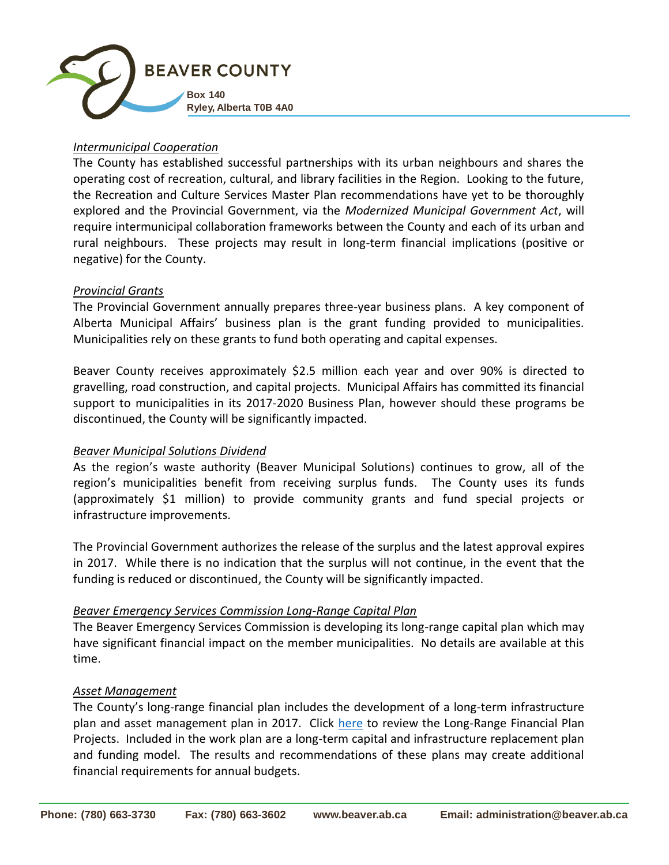

# *Intermunicipal Cooperation*

The County has established successful partnerships with its urban neighbours and shares the operating cost of recreation, cultural, and library facilities in the Region. Looking to the future, the Recreation and Culture Services Master Plan recommendations have yet to be thoroughly explored and the Provincial Government, via the *Modernized Municipal Government Act*, will require intermunicipal collaboration frameworks between the County and each of its urban and rural neighbours. These projects may result in long-term financial implications (positive or negative) for the County.

# *Provincial Grants*

The Provincial Government annually prepares three-year business plans. A key component of Alberta Municipal Affairs' business plan is the grant funding provided to municipalities. Municipalities rely on these grants to fund both operating and capital expenses.

Beaver County receives approximately \$2.5 million each year and over 90% is directed to gravelling, road construction, and capital projects. Municipal Affairs has committed its financial support to municipalities in its 2017-2020 Business Plan, however should these programs be discontinued, the County will be significantly impacted.

# *Beaver Municipal Solutions Dividend*

As the region's waste authority (Beaver Municipal Solutions) continues to grow, all of the region's municipalities benefit from receiving surplus funds. The County uses its funds (approximately \$1 million) to provide community grants and fund special projects or infrastructure improvements.

The Provincial Government authorizes the release of the surplus and the latest approval expires in 2017. While there is no indication that the surplus will not continue, in the event that the funding is reduced or discontinued, the County will be significantly impacted.

# *Beaver Emergency Services Commission Long-Range Capital Plan*

The Beaver Emergency Services Commission is developing its long-range capital plan which may have significant financial impact on the member municipalities. No details are available at this time.

# *Asset Management*

The County's long-range financial plan includes the development of a long-term infrastructure plan and asset management plan in 2017. Click [here](file://///srv1/shared/Marg/Long%20Range%20Financial%20Plan/2018%202022%20Budget/5%20Long%20Range%20Financial%20Plan%20Projects.pdf) to review the Long-Range Financial Plan Projects. Included in the work plan are a long-term capital and infrastructure replacement plan and funding model. The results and recommendations of these plans may create additional financial requirements for annual budgets.